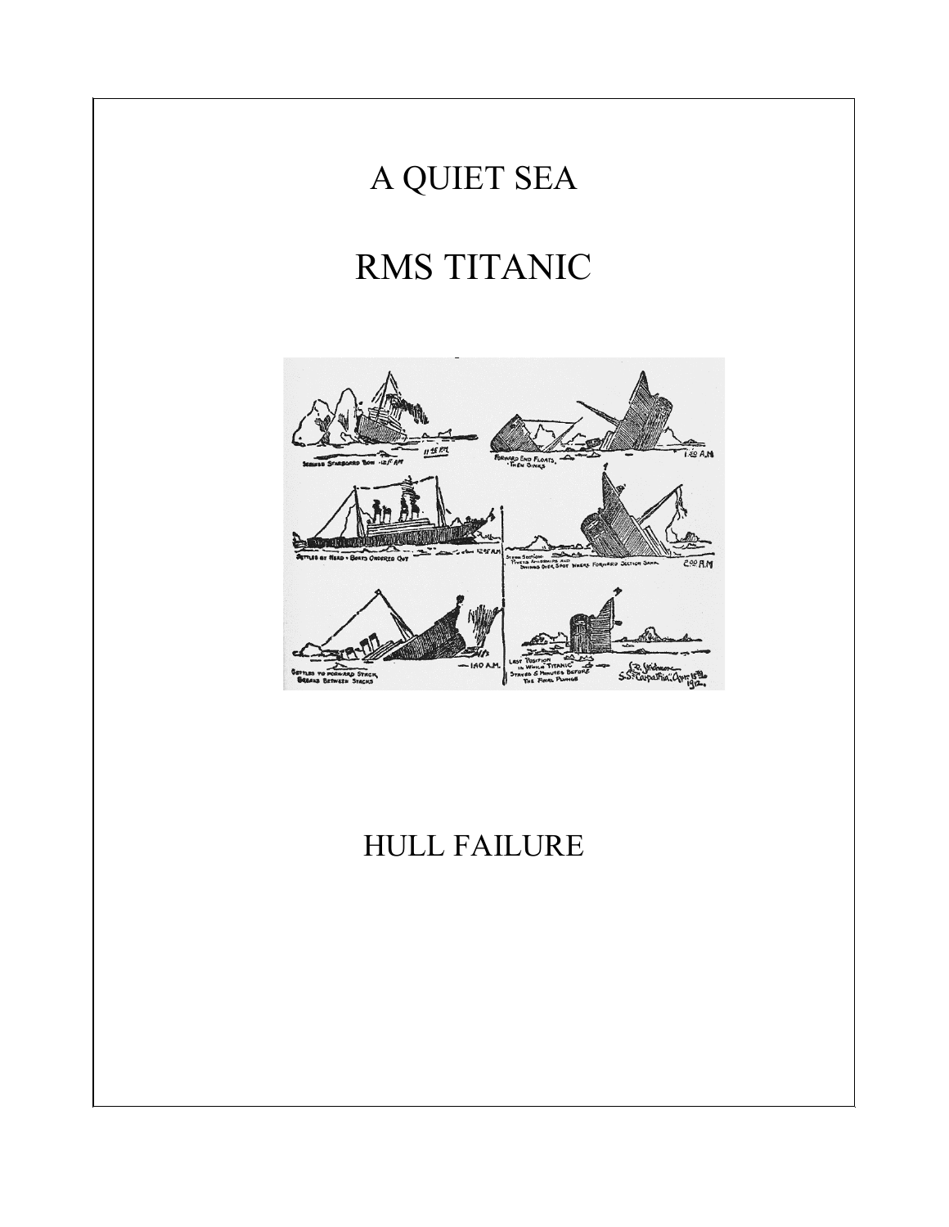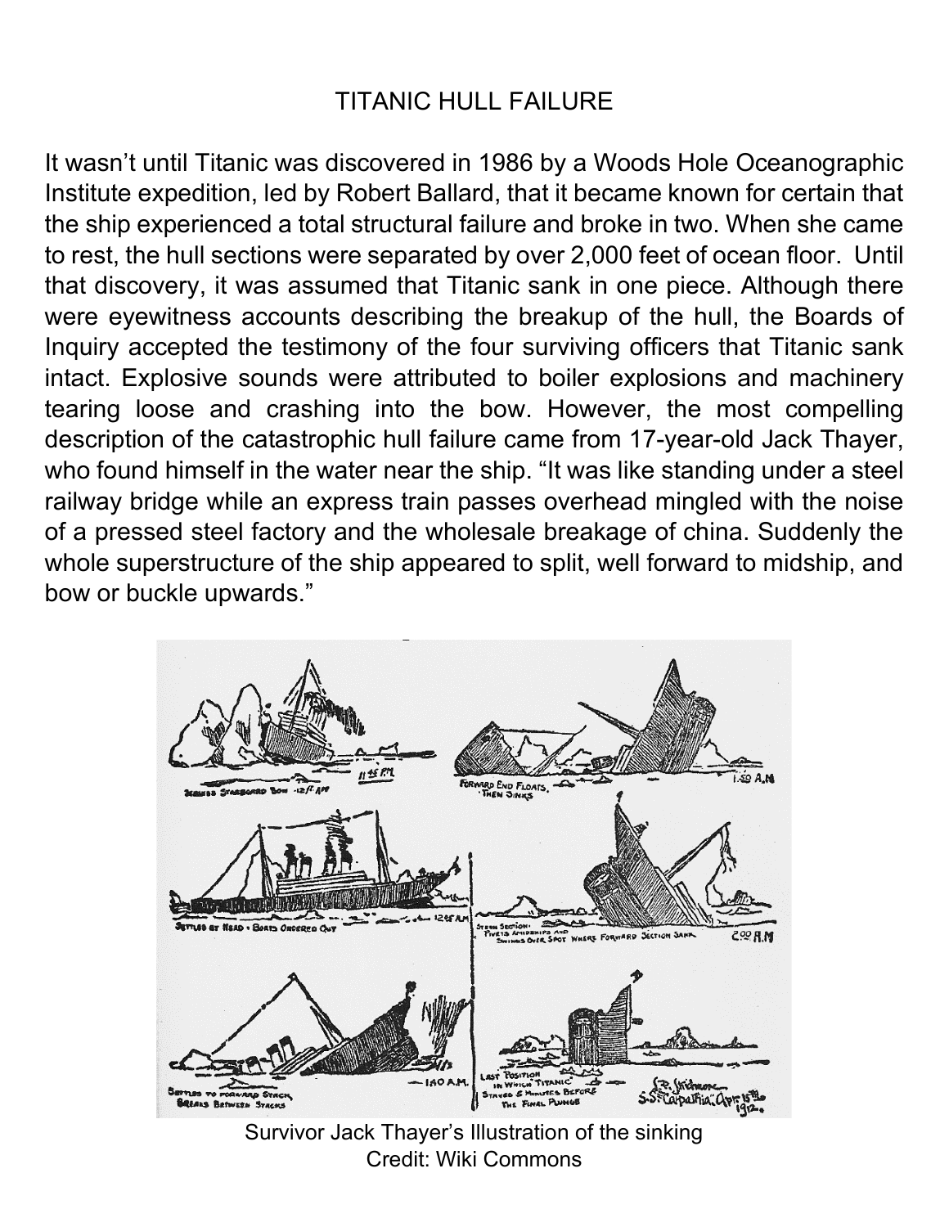## TITANIC HULL FAILURE

It wasn't until Titanic was discovered in 1986 by a Woods Hole Oceanographic Institute expedition, led by Robert Ballard, that it became known for certain that the ship experienced a total structural failure and broke in two. When she came to rest, the hull sections were separated by over 2,000 feet of ocean floor. Until that discovery, it was assumed that Titanic sank in one piece. Although there were eyewitness accounts describing the breakup of the hull, the Boards of Inquiry accepted the testimony of the four surviving officers that Titanic sank intact. Explosive sounds were attributed to boiler explosions and machinery tearing loose and crashing into the bow. However, the most compelling description of the catastrophic hull failure came from 17-year-old Jack Thayer, who found himself in the water near the ship. "It was like standing under a steel railway bridge while an express train passes overhead mingled with the noise of a pressed steel factory and the wholesale breakage of china. Suddenly the whole superstructure of the ship appeared to split, well forward to midship, and bow or buckle upwards."

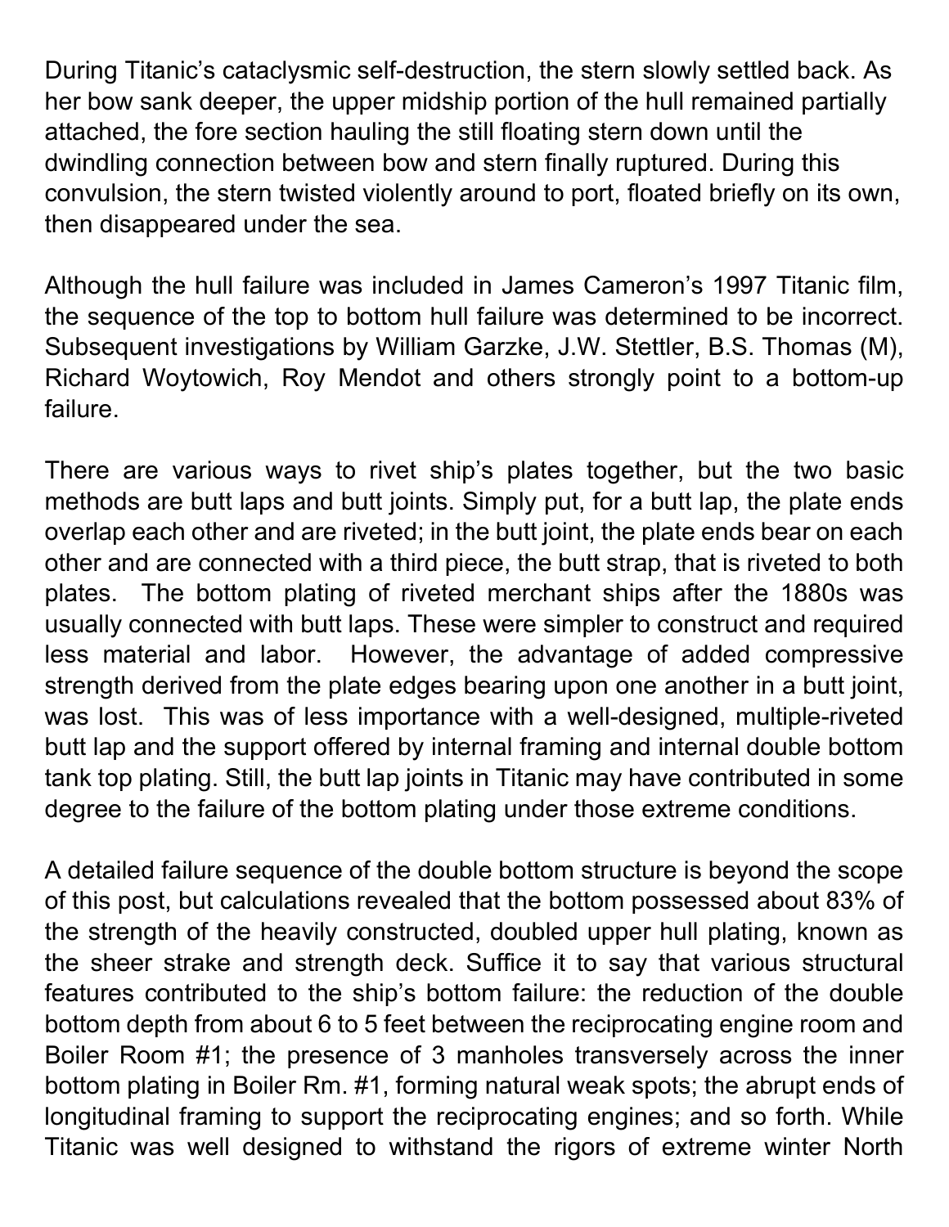During Titanic's cataclysmic self-destruction, the stern slowly settled back. As her bow sank deeper, the upper midship portion of the hull remained partially attached, the fore section hauling the still floating stern down until the dwindling connection between bow and stern finally ruptured. During this convulsion, the stern twisted violently around to port, floated briefly on its own, then disappeared under the sea.

Although the hull failure was included in James Cameron's 1997 Titanic film, the sequence of the top to bottom hull failure was determined to be incorrect. Subsequent investigations by William Garzke, J.W. Stettler, B.S. Thomas (M), Richard Woytowich, Roy Mendot and others strongly point to a bottom-up failure.

There are various ways to rivet ship's plates together, but the two basic methods are butt laps and butt joints. Simply put, for a butt lap, the plate ends overlap each other and are riveted; in the butt joint, the plate ends bear on each other and are connected with a third piece, the butt strap, that is riveted to both plates. The bottom plating of riveted merchant ships after the 1880s was usually connected with butt laps. These were simpler to construct and required less material and labor. However, the advantage of added compressive strength derived from the plate edges bearing upon one another in a butt joint, was lost. This was of less importance with a well-designed, multiple-riveted butt lap and the support offered by internal framing and internal double bottom tank top plating. Still, the butt lap joints in Titanic may have contributed in some degree to the failure of the bottom plating under those extreme conditions.

A detailed failure sequence of the double bottom structure is beyond the scope of this post, but calculations revealed that the bottom possessed about 83% of the strength of the heavily constructed, doubled upper hull plating, known as the sheer strake and strength deck. Suffice it to say that various structural features contributed to the ship's bottom failure: the reduction of the double bottom depth from about 6 to 5 feet between the reciprocating engine room and Boiler Room #1; the presence of 3 manholes transversely across the inner bottom plating in Boiler Rm. #1, forming natural weak spots; the abrupt ends of longitudinal framing to support the reciprocating engines; and so forth. While Titanic was well designed to withstand the rigors of extreme winter North